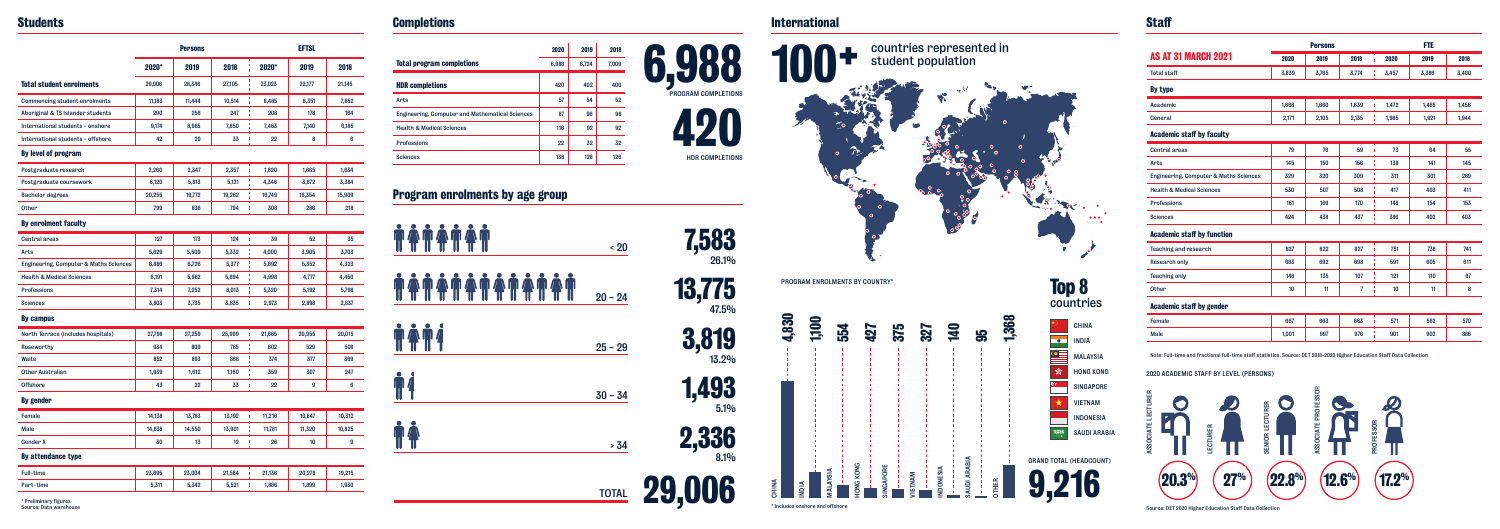# **Staff**

# **Completions**

Source: DET 2020 Higher Education Staff Data Collection

# **Program enrolments by age group**

## **Students International**

| <b>TATATA</b> | $\cdot$ 20   | 7,583<br>26.1%  |
|---------------|--------------|-----------------|
|               | $20 - 24$    | 13,775<br>47.5% |
| <b>TAT4</b>   | $25 - 29$    | 3,819<br>13.2%  |
| $\P\P'$       | $30 - 34$    | 1,493<br>5.1%   |
| $\P_1$ l $\,$ | > 34         | 2,336<br>8.1%   |
|               | <b>TOTAL</b> | 29,006          |

| <b>Total program completions</b>                | 2020<br>6,988 | 2019<br>6,724 | 2018<br>7,009 |
|-------------------------------------------------|---------------|---------------|---------------|
| <b>HDR</b> completions                          | 420           | 402           | 400           |
| Arts                                            | 57            | 54            | 52            |
| Engineering, Computer and Mathematical Sciences | 87            | 96            | 98            |
| <b>Health &amp; Medical Sciences</b>            | 116           | 92            | 92            |
| <b>Professions</b>                              | 22            | 32            | 32            |
| <b>Sciences</b>                                 | 138           | 128           | 126           |



|                                                                                                                                                                                                                              |       | <b>Persons</b>      |                |           | <b>FTE</b> |       |
|------------------------------------------------------------------------------------------------------------------------------------------------------------------------------------------------------------------------------|-------|---------------------|----------------|-----------|------------|-------|
| <b>AS AT 31 MARCH 2021</b>                                                                                                                                                                                                   | 2020  | 2019                | 2018           | 2020      | 2019       | 2018  |
| <b>Total staff</b>                                                                                                                                                                                                           | 3,839 | 3,765               | 3,774          | 3,457     | 3,386      | 3,400 |
| By type                                                                                                                                                                                                                      |       |                     |                |           |            |       |
| Academic                                                                                                                                                                                                                     | 1,668 | 1,660               | 1,639          | 1,472     | 1,465      | 1,456 |
| General                                                                                                                                                                                                                      | 2,171 | 2,105               | 2,135          | 1,985     | 1,921      | 1,944 |
| <b>Academic staff by faculty</b>                                                                                                                                                                                             |       |                     |                |           |            |       |
| <b>Central areas</b>                                                                                                                                                                                                         | 79    | 76                  | 59             | 73<br>ï   | 64         | 55    |
| Arts                                                                                                                                                                                                                         | 145   | 150                 | 156            | 138       | 141        | 145   |
| Engineering, Computer & Maths Sciences                                                                                                                                                                                       | 329   | 320                 | 309            | ï<br>311  | 301        | 289   |
| <b>Health &amp; Medical Sciences</b>                                                                                                                                                                                         | 530   | 507                 | 508            | ı<br>417  | 403        | 411   |
| <b>Professions</b>                                                                                                                                                                                                           | 161   | 169                 | 170            | 148       | 154        | 153   |
| <b>Sciences</b>                                                                                                                                                                                                              | 424   | 438                 | 437            | 386       | 402        | 403   |
| <b>Academic staff by function</b>                                                                                                                                                                                            |       |                     |                |           |            |       |
| <b>Teaching and research</b>                                                                                                                                                                                                 | 827   | 822                 | 827            | 751       | 738        | 741   |
| Research only                                                                                                                                                                                                                | 683   | 692                 | 698            | 591       | 605        | 611   |
| <b>Teaching only</b>                                                                                                                                                                                                         | 148   | 135                 | 107            | 121       | 110        | 97    |
| <b>Other</b>                                                                                                                                                                                                                 | 10    | 11                  | $\overline{7}$ | 10        | 11         | 8     |
| <b>Academic staff by gender</b>                                                                                                                                                                                              |       |                     |                |           |            |       |
| Female                                                                                                                                                                                                                       | 667   | 663                 | 663            | 571<br>ï  | 562        | 570   |
| Male                                                                                                                                                                                                                         | 1,001 | 997                 | 976            | 901       | 902        | 886   |
| Note: Full-time and fractional full-time staff statistics. Source: DET 2018-2020 Higher Education Staff Data Collection<br>2020 ACADEMIC STAFF BY LEVEL (PERSONS)<br>ASSOCIATE LECTURER<br><b>SENIOR LECTURER</b><br>ECTURER |       | ASSOCIATE PROFESSOR |                | PROFESSOR |            |       |

|                                        |        | <b>Persons</b> |        |         | <b>EFTSL</b> |        |  |  |  |
|----------------------------------------|--------|----------------|--------|---------|--------------|--------|--|--|--|
|                                        | 2020*  | 2019           | 2018   | $2020*$ | 2019         | 2018   |  |  |  |
| <b>Total student enrolments</b>        | 29,006 | 28.346         | 27.105 | 23.023  | 22.177       | 21.145 |  |  |  |
| <b>Commencing student enrolments</b>   | 11.183 | 11.444         | 10.514 | 8.485   | 8.351        | 7.652  |  |  |  |
| Aboriginal & TS Islander students      | 290    | 256            | 247    | 208     | 178          | 164    |  |  |  |
| International students - onshore       | 9,174  | 8,985          | 7,850  | 7,463   | 7,140        | 6,185  |  |  |  |
| International students - offshore      | 42     | 20             | 33     | 22      | 8            | 6      |  |  |  |
| By level of program                    |        |                |        |         |              |        |  |  |  |
| Postgraduate research                  | 2,260  | 2,347          | 2,357  | 1,620   | 1,665        | 1,634  |  |  |  |
| Postgraduate coursework                | 6,120  | 5,813          | 5,121  | 4,346   | 3,872        | 3,384  |  |  |  |
| <b>Bachelor degrees</b>                | 20,255 | 19,772         | 19,262 | 16,749  | 16,354       | 15,909 |  |  |  |
| Other                                  | 799    | 836            | 794    | 308     | 286          | 218    |  |  |  |
| <b>By enrolment faculty</b>            |        |                |        |         |              |        |  |  |  |
| <b>Central areas</b>                   | 127    | 173            | 124    | 39      | 52           | 35     |  |  |  |
| Arts                                   | 5.629  | 5.509          | 5.332  | 4.000   | 3.905        | 3.703  |  |  |  |
| Engineering, Computer & Maths Sciences | 6,886  | 6,726          | 5,377  | 5,692   | 5,352        | 4,323  |  |  |  |
| <b>Health &amp; Medical Sciences</b>   | 6,191  | 5,982          | 5,694  | 4,998   | 4,777        | 4,450  |  |  |  |
| <b>Professions</b>                     | 7,314  | 7.252          | 8.013  | 5,320   | 5,192        | 5.798  |  |  |  |
| <b>Sciences</b>                        | 3,803  | 3,735          | 3,635  | 2,973   | 2,898        | 2,837  |  |  |  |
| <b>By campus</b>                       |        |                |        |         |              |        |  |  |  |
| North Terrace (includes hospitals)     | 27,798 | 27.259         | 25,999 | 21.665  | 20.955       | 20.015 |  |  |  |
| Roseworthy                             | 934    | 809            | 785    | 602     | 529          | 508    |  |  |  |
| Waite                                  | 852    | 893            | 868    | 374     | 377          | 369    |  |  |  |
| <b>Other Australian</b>                | 1,939  | 1,612          | 1,160  | 359     | 307          | 247    |  |  |  |
| Offshore                               | 43     | 22             | 33     | 22      | 9            | 6      |  |  |  |
| By gender                              |        |                |        |         |              |        |  |  |  |
| Female                                 | 14,138 | 13,783         | 13,192 | 11,216  | 10,847       | 10,312 |  |  |  |
| Male                                   | 14,838 | 14,550         | 13.901 | 11,781  | 11,320       | 10,825 |  |  |  |
| Gender X                               | 30     | 13             | 12     | ٠<br>26 | 10           | 9      |  |  |  |
| By attendance type                     |        |                |        |         |              |        |  |  |  |
| <b>Full-time</b>                       | 23,695 | 23,004         | 21,584 | 21,136  | 20,278       | 19.215 |  |  |  |
| Part-time                              | 5,311  | 5,342          | 5,521  | 1,886   | 1,899        | 1,930  |  |  |  |

\* Preliminary figures Source: Data warehouse **17.2% 12.6% 22.8% 27% 20.3%**